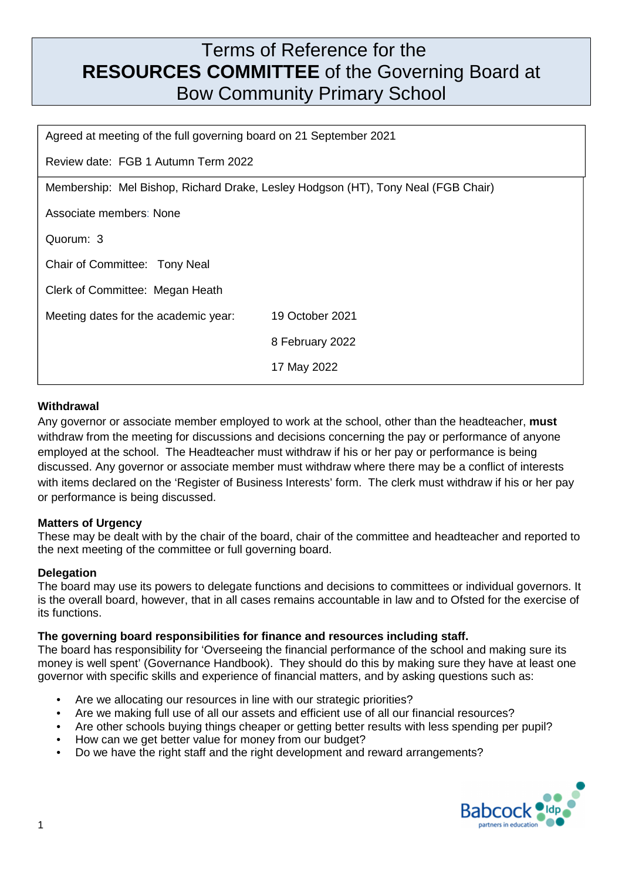# Terms of Reference for the **RESOURCES COMMITTEE** of the Governing Board at Bow Community Primary School

| Agreed at meeting of the full governing board on 21 September 2021                |                 |  |
|-----------------------------------------------------------------------------------|-----------------|--|
| Review date: FGB 1 Autumn Term 2022                                               |                 |  |
| Membership: Mel Bishop, Richard Drake, Lesley Hodgson (HT), Tony Neal (FGB Chair) |                 |  |
| Associate members: None                                                           |                 |  |
| Quorum: 3                                                                         |                 |  |
| Chair of Committee: Tony Neal                                                     |                 |  |
| Clerk of Committee: Megan Heath                                                   |                 |  |
| Meeting dates for the academic year:                                              | 19 October 2021 |  |
|                                                                                   | 8 February 2022 |  |
|                                                                                   | 17 May 2022     |  |

# **Withdrawal**

Any governor or associate member employed to work at the school, other than the headteacher, **must** withdraw from the meeting for discussions and decisions concerning the pay or performance of anyone employed at the school. The Headteacher must withdraw if his or her pay or performance is being discussed. Any governor or associate member must withdraw where there may be a conflict of interests with items declared on the 'Register of Business Interests' form. The clerk must withdraw if his or her pay or performance is being discussed.

#### **Matters of Urgency**

These may be dealt with by the chair of the board, chair of the committee and headteacher and reported to the next meeting of the committee or full governing board.

#### **Delegation**

The board may use its powers to delegate functions and decisions to committees or individual governors. It is the overall board, however, that in all cases remains accountable in law and to Ofsted for the exercise of its functions.

#### **The governing board responsibilities for finance and resources including staff.**

The board has responsibility for 'Overseeing the financial performance of the school and making sure its money is well spent' (Governance Handbook). They should do this by making sure they have at least one governor with specific skills and experience of financial matters, and by asking questions such as:

- Are we allocating our resources in line with our strategic priorities?
- Are we making full use of all our assets and efficient use of all our financial resources?
- Are other schools buying things cheaper or getting better results with less spending per pupil?
- How can we get better value for money from our budget?
- Do we have the right staff and the right development and reward arrangements?

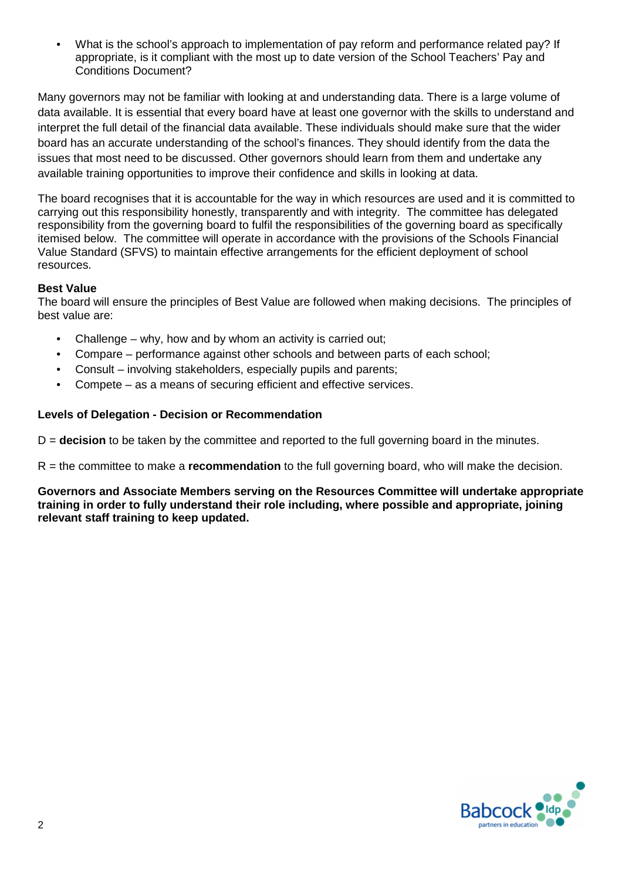• What is the school's approach to implementation of pay reform and performance related pay? If appropriate, is it compliant with the most up to date version of the School Teachers' Pay and Conditions Document?

Many governors may not be familiar with looking at and understanding data. There is a large volume of data available. It is essential that every board have at least one governor with the skills to understand and interpret the full detail of the financial data available. These individuals should make sure that the wider board has an accurate understanding of the school's finances. They should identify from the data the issues that most need to be discussed. Other governors should learn from them and undertake any available training opportunities to improve their confidence and skills in looking at data.

The board recognises that it is accountable for the way in which resources are used and it is committed to carrying out this responsibility honestly, transparently and with integrity. The committee has delegated responsibility from the governing board to fulfil the responsibilities of the governing board as specifically itemised below. The committee will operate in accordance with the provisions of the Schools Financial Value Standard (SFVS) to maintain effective arrangements for the efficient deployment of school resources.

#### **Best Value**

The board will ensure the principles of Best Value are followed when making decisions. The principles of best value are:

- Challenge why, how and by whom an activity is carried out;
- Compare performance against other schools and between parts of each school;
- Consult involving stakeholders, especially pupils and parents;
- Compete as a means of securing efficient and effective services.

#### **Levels of Delegation - Decision or Recommendation**

D = **decision** to be taken by the committee and reported to the full governing board in the minutes.

R = the committee to make a **recommendation** to the full governing board, who will make the decision.

**Governors and Associate Members serving on the Resources Committee will undertake appropriate training in order to fully understand their role including, where possible and appropriate, joining relevant staff training to keep updated.** 

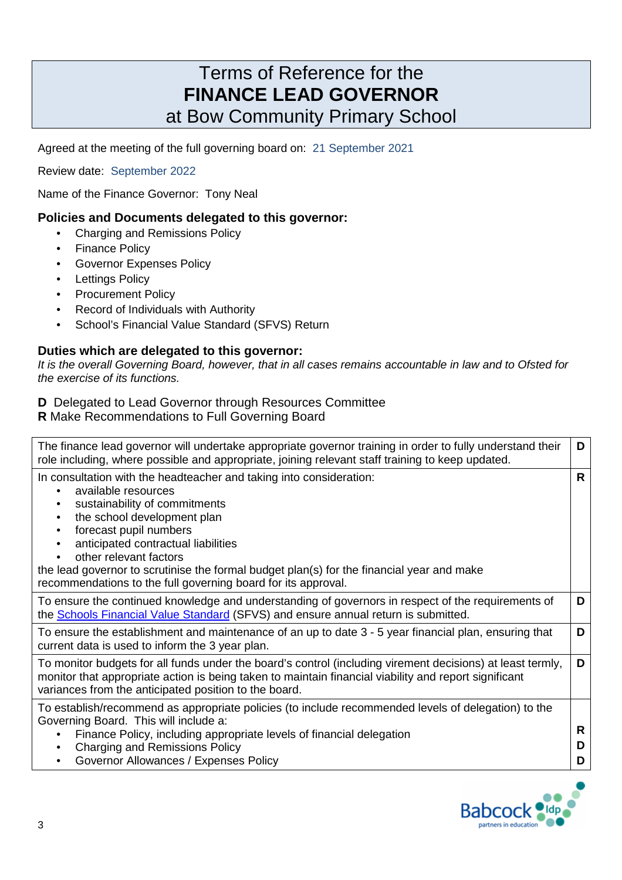# Terms of Reference for the **FINANCE LEAD GOVERNOR**  at Bow Community Primary School

Agreed at the meeting of the full governing board on:21 September 2021

Review date: September 2022

Name of the Finance Governor: Tony Neal

#### **Policies and Documents delegated to this governor:**

- Charging and Remissions Policy
- Finance Policy
- Governor Expenses Policy
- **Lettings Policy**
- Procurement Policy
- Record of Individuals with Authority
- School's Financial Value Standard (SFVS) Return

#### **Duties which are delegated to this governor:**

It is the overall Governing Board, however, that in all cases remains accountable in law and to Ofsted for the exercise of its functions.

### **D** Delegated to Lead Governor through Resources Committee

**R** Make Recommendations to Full Governing Board

| The finance lead governor will undertake appropriate governor training in order to fully understand their<br>role including, where possible and appropriate, joining relevant staff training to keep updated.                                                                                                                                                                                                                 | D           |
|-------------------------------------------------------------------------------------------------------------------------------------------------------------------------------------------------------------------------------------------------------------------------------------------------------------------------------------------------------------------------------------------------------------------------------|-------------|
| In consultation with the headteacher and taking into consideration:<br>available resources<br>sustainability of commitments<br>the school development plan<br>٠<br>forecast pupil numbers<br>٠<br>anticipated contractual liabilities<br>other relevant factors<br>the lead governor to scrutinise the formal budget plan(s) for the financial year and make<br>recommendations to the full governing board for its approval. | R           |
| To ensure the continued knowledge and understanding of governors in respect of the requirements of<br>the <b>Schools Financial Value Standard</b> (SFVS) and ensure annual return is submitted.                                                                                                                                                                                                                               | D           |
| To ensure the establishment and maintenance of an up to date 3 - 5 year financial plan, ensuring that<br>current data is used to inform the 3 year plan.                                                                                                                                                                                                                                                                      | D           |
| To monitor budgets for all funds under the board's control (including virement decisions) at least termly,<br>monitor that appropriate action is being taken to maintain financial viability and report significant<br>variances from the anticipated position to the board.                                                                                                                                                  | D           |
| To establish/recommend as appropriate policies (to include recommended levels of delegation) to the<br>Governing Board. This will include a:<br>Finance Policy, including appropriate levels of financial delegation<br>٠<br><b>Charging and Remissions Policy</b><br>٠<br>Governor Allowances / Expenses Policy<br>$\bullet$                                                                                                 | R<br>D<br>D |

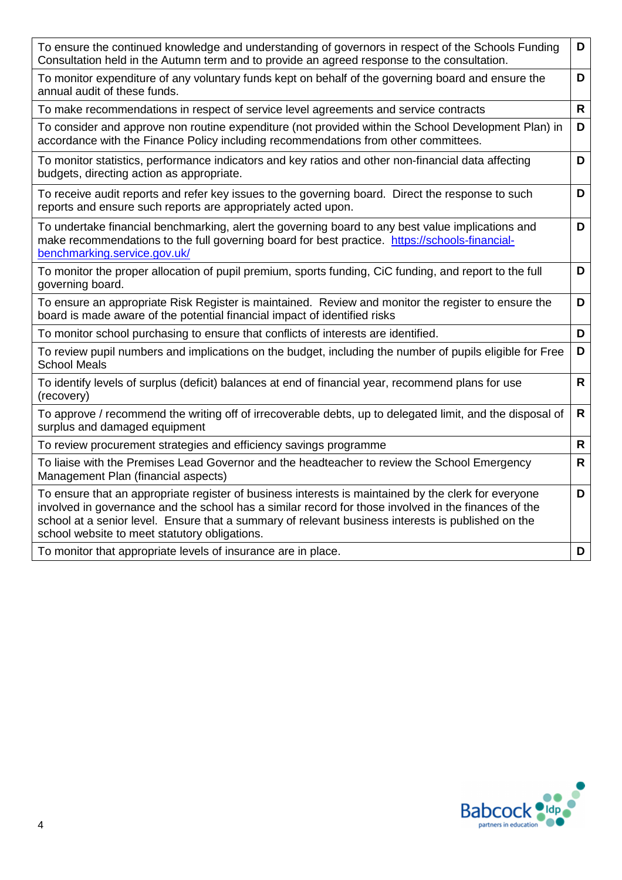| To ensure the continued knowledge and understanding of governors in respect of the Schools Funding<br>Consultation held in the Autumn term and to provide an agreed response to the consultation.                                                                                                                                                                   | D            |
|---------------------------------------------------------------------------------------------------------------------------------------------------------------------------------------------------------------------------------------------------------------------------------------------------------------------------------------------------------------------|--------------|
| To monitor expenditure of any voluntary funds kept on behalf of the governing board and ensure the<br>annual audit of these funds.                                                                                                                                                                                                                                  | D            |
| To make recommendations in respect of service level agreements and service contracts                                                                                                                                                                                                                                                                                | $\mathsf{R}$ |
| To consider and approve non routine expenditure (not provided within the School Development Plan) in<br>accordance with the Finance Policy including recommendations from other committees.                                                                                                                                                                         | D            |
| To monitor statistics, performance indicators and key ratios and other non-financial data affecting<br>budgets, directing action as appropriate.                                                                                                                                                                                                                    | D            |
| To receive audit reports and refer key issues to the governing board. Direct the response to such<br>reports and ensure such reports are appropriately acted upon.                                                                                                                                                                                                  | D            |
| To undertake financial benchmarking, alert the governing board to any best value implications and<br>make recommendations to the full governing board for best practice. https://schools-financial-<br>benchmarking.service.gov.uk/                                                                                                                                 | D            |
| To monitor the proper allocation of pupil premium, sports funding, CiC funding, and report to the full<br>governing board.                                                                                                                                                                                                                                          | D            |
| To ensure an appropriate Risk Register is maintained. Review and monitor the register to ensure the<br>board is made aware of the potential financial impact of identified risks                                                                                                                                                                                    | D            |
| To monitor school purchasing to ensure that conflicts of interests are identified.                                                                                                                                                                                                                                                                                  | D            |
| To review pupil numbers and implications on the budget, including the number of pupils eligible for Free<br><b>School Meals</b>                                                                                                                                                                                                                                     | D            |
| To identify levels of surplus (deficit) balances at end of financial year, recommend plans for use<br>(recovery)                                                                                                                                                                                                                                                    | R            |
| To approve / recommend the writing off of irrecoverable debts, up to delegated limit, and the disposal of<br>surplus and damaged equipment                                                                                                                                                                                                                          | $\mathsf{R}$ |
| To review procurement strategies and efficiency savings programme                                                                                                                                                                                                                                                                                                   | $\mathsf{R}$ |
| To liaise with the Premises Lead Governor and the headteacher to review the School Emergency<br>Management Plan (financial aspects)                                                                                                                                                                                                                                 | $\mathsf{R}$ |
| To ensure that an appropriate register of business interests is maintained by the clerk for everyone<br>involved in governance and the school has a similar record for those involved in the finances of the<br>school at a senior level. Ensure that a summary of relevant business interests is published on the<br>school website to meet statutory obligations. | D            |
| To monitor that appropriate levels of insurance are in place.                                                                                                                                                                                                                                                                                                       | D            |

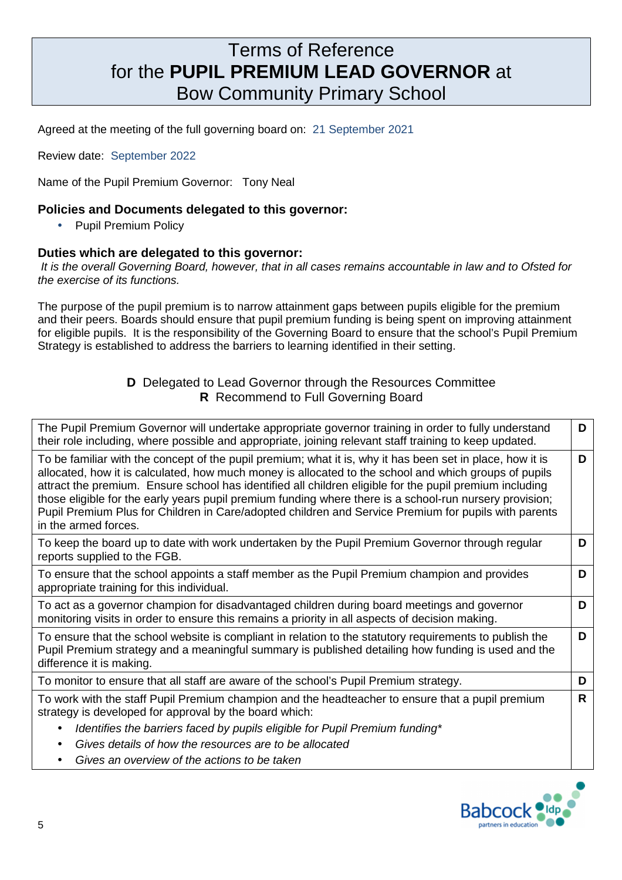# Terms of Reference for the **PUPIL PREMIUM LEAD GOVERNOR** at Bow Community Primary School

Agreed at the meeting of the full governing board on:21 September 2021

Review date: September 2022

Name of the Pupil Premium Governor: Tony Neal

#### **Policies and Documents delegated to this governor:**

• Pupil Premium Policy

#### **Duties which are delegated to this governor:**

 It is the overall Governing Board, however, that in all cases remains accountable in law and to Ofsted for the exercise of its functions.

The purpose of the pupil premium is to narrow attainment gaps between pupils eligible for the premium and their peers. Boards should ensure that pupil premium funding is being spent on improving attainment for eligible pupils. It is the responsibility of the Governing Board to ensure that the school's Pupil Premium Strategy is established to address the barriers to learning identified in their setting.

### **D** Delegated to Lead Governor through the Resources Committee **R** Recommend to Full Governing Board

| The Pupil Premium Governor will undertake appropriate governor training in order to fully understand<br>their role including, where possible and appropriate, joining relevant staff training to keep updated.                                                                                                                                                                                                                                                                                                                                                           | D |
|--------------------------------------------------------------------------------------------------------------------------------------------------------------------------------------------------------------------------------------------------------------------------------------------------------------------------------------------------------------------------------------------------------------------------------------------------------------------------------------------------------------------------------------------------------------------------|---|
| To be familiar with the concept of the pupil premium; what it is, why it has been set in place, how it is<br>allocated, how it is calculated, how much money is allocated to the school and which groups of pupils<br>attract the premium. Ensure school has identified all children eligible for the pupil premium including<br>those eligible for the early years pupil premium funding where there is a school-run nursery provision;<br>Pupil Premium Plus for Children in Care/adopted children and Service Premium for pupils with parents<br>in the armed forces. |   |
| To keep the board up to date with work undertaken by the Pupil Premium Governor through regular<br>reports supplied to the FGB.                                                                                                                                                                                                                                                                                                                                                                                                                                          | D |
| To ensure that the school appoints a staff member as the Pupil Premium champion and provides<br>appropriate training for this individual.                                                                                                                                                                                                                                                                                                                                                                                                                                | D |
| To act as a governor champion for disadvantaged children during board meetings and governor<br>monitoring visits in order to ensure this remains a priority in all aspects of decision making.                                                                                                                                                                                                                                                                                                                                                                           | D |
| To ensure that the school website is compliant in relation to the statutory requirements to publish the<br>Pupil Premium strategy and a meaningful summary is published detailing how funding is used and the<br>difference it is making.                                                                                                                                                                                                                                                                                                                                | D |
| To monitor to ensure that all staff are aware of the school's Pupil Premium strategy.                                                                                                                                                                                                                                                                                                                                                                                                                                                                                    | D |
| To work with the staff Pupil Premium champion and the headteacher to ensure that a pupil premium<br>strategy is developed for approval by the board which:<br>Identifies the barriers faced by pupils eligible for Pupil Premium funding*<br>$\bullet$                                                                                                                                                                                                                                                                                                                   | R |
| Gives details of how the resources are to be allocated<br>$\bullet$                                                                                                                                                                                                                                                                                                                                                                                                                                                                                                      |   |
| Gives an overview of the actions to be taken<br>$\bullet$                                                                                                                                                                                                                                                                                                                                                                                                                                                                                                                |   |

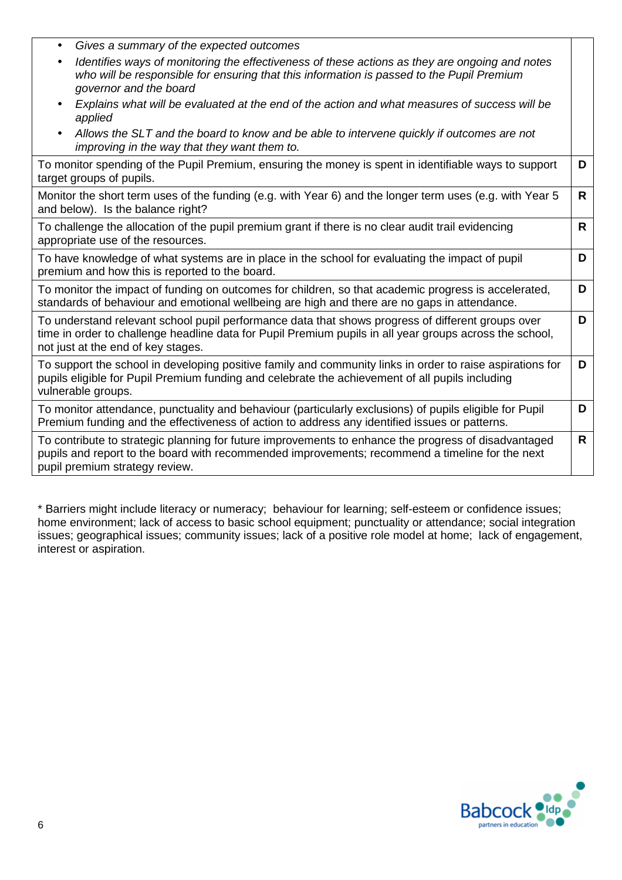| Gives a summary of the expected outcomes<br>٠                                                                                                                                                                                                      |              |
|----------------------------------------------------------------------------------------------------------------------------------------------------------------------------------------------------------------------------------------------------|--------------|
| Identifies ways of monitoring the effectiveness of these actions as they are ongoing and notes<br>$\bullet$<br>who will be responsible for ensuring that this information is passed to the Pupil Premium<br>governor and the board                 |              |
| Explains what will be evaluated at the end of the action and what measures of success will be<br>$\bullet$<br>applied                                                                                                                              |              |
| Allows the SLT and the board to know and be able to intervene quickly if outcomes are not<br>$\bullet$<br>improving in the way that they want them to.                                                                                             |              |
| To monitor spending of the Pupil Premium, ensuring the money is spent in identifiable ways to support<br>target groups of pupils.                                                                                                                  | D            |
| Monitor the short term uses of the funding (e.g. with Year 6) and the longer term uses (e.g. with Year 5<br>and below). Is the balance right?                                                                                                      | $\mathsf{R}$ |
| To challenge the allocation of the pupil premium grant if there is no clear audit trail evidencing<br>appropriate use of the resources.                                                                                                            | $\mathsf{R}$ |
| To have knowledge of what systems are in place in the school for evaluating the impact of pupil<br>premium and how this is reported to the board.                                                                                                  | D            |
| To monitor the impact of funding on outcomes for children, so that academic progress is accelerated,<br>standards of behaviour and emotional wellbeing are high and there are no gaps in attendance.                                               | D            |
| To understand relevant school pupil performance data that shows progress of different groups over<br>time in order to challenge headline data for Pupil Premium pupils in all year groups across the school,<br>not just at the end of key stages. | D            |
| To support the school in developing positive family and community links in order to raise aspirations for<br>pupils eligible for Pupil Premium funding and celebrate the achievement of all pupils including<br>vulnerable groups.                 | D            |
| To monitor attendance, punctuality and behaviour (particularly exclusions) of pupils eligible for Pupil<br>Premium funding and the effectiveness of action to address any identified issues or patterns.                                           | D            |
| To contribute to strategic planning for future improvements to enhance the progress of disadvantaged<br>pupils and report to the board with recommended improvements; recommend a timeline for the next<br>pupil premium strategy review.          | $\mathsf{R}$ |

\* Barriers might include literacy or numeracy; behaviour for learning; self-esteem or confidence issues; home environment; lack of access to basic school equipment; punctuality or attendance; social integration issues; geographical issues; community issues; lack of a positive role model at home; lack of engagement, interest or aspiration.

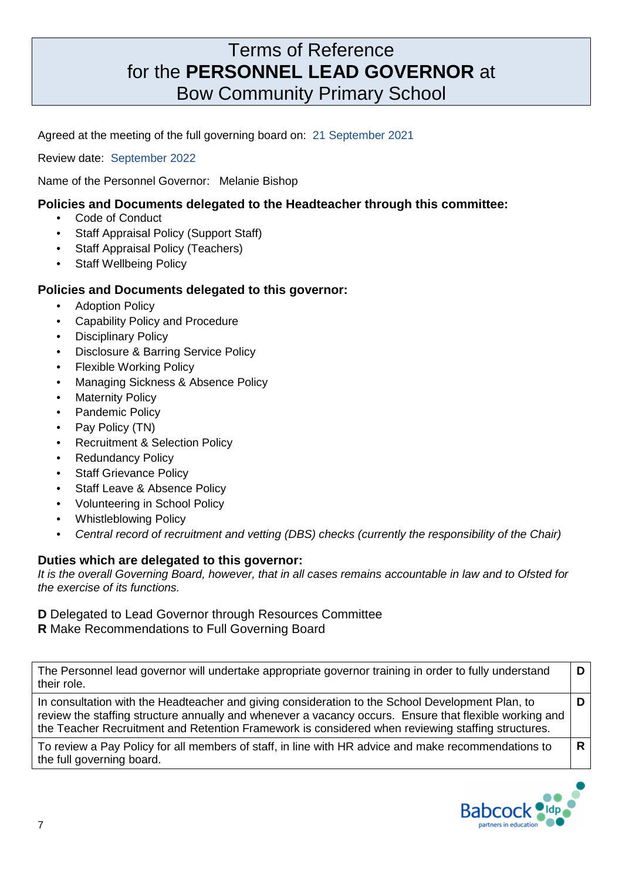# Terms of Reference for the **PERSONNEL LEAD GOVERNOR** at Bow Community Primary School

Agreed at the meeting of the full governing board on:21 September 2021

Review date: September 2022

Name of the Personnel Governor: Melanie Bishop

### **Policies and Documents delegated to the Headteacher through this committee:**

- Code of Conduct
- Staff Appraisal Policy (Support Staff)
- **Staff Appraisal Policy (Teachers)**
- **Staff Wellbeing Policy**

#### **Policies and Documents delegated to this governor:**

- **Adoption Policy**
- Capability Policy and Procedure
- Disciplinary Policy
- Disclosure & Barring Service Policy
- **Flexible Working Policy**
- Managing Sickness & Absence Policy
- **Maternity Policy**
- Pandemic Policy
- Pay Policy (TN)
- Recruitment & Selection Policy
- **Redundancy Policy**
- **Staff Grievance Policy**
- Staff Leave & Absence Policy
- Volunteering in School Policy
- Whistleblowing Policy
- Central record of recruitment and vetting (DBS) checks (currently the responsibility of the Chair)

# **Duties which are delegated to this governor:**

It is the overall Governing Board, however, that in all cases remains accountable in law and to Ofsted for the exercise of its functions.

# **D** Delegated to Lead Governor through Resources Committee

**R** Make Recommendations to Full Governing Board

| The Personnel lead governor will undertake appropriate governor training in order to fully understand<br>their role. |  |
|----------------------------------------------------------------------------------------------------------------------|--|
| In consultation with the Headteacher and giving consideration to the School Development Plan, to                     |  |

In consultation with the Headteacher and giving consideration to the School Development Plan, to review the staffing structure annually and whenever a vacancy occurs. Ensure that flexible working and the Teacher Recruitment and Retention Framework is considered when reviewing staffing structures.

To review a Pay Policy for all members of staff, in line with HR advice and make recommendations to the full governing board.



**R**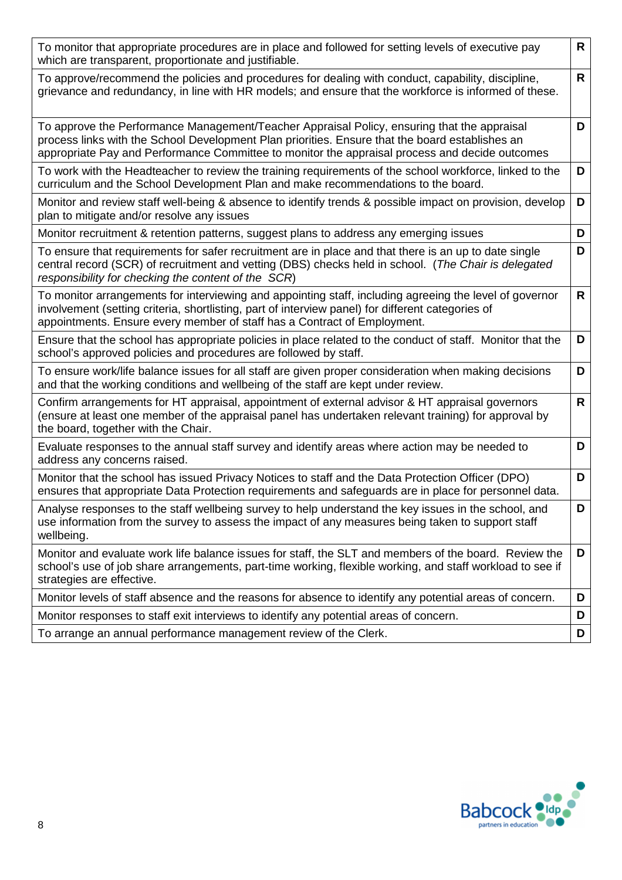| To monitor that appropriate procedures are in place and followed for setting levels of executive pay<br>which are transparent, proportionate and justifiable.                                                                                                                                    | $\mathsf{R}$ |
|--------------------------------------------------------------------------------------------------------------------------------------------------------------------------------------------------------------------------------------------------------------------------------------------------|--------------|
| To approve/recommend the policies and procedures for dealing with conduct, capability, discipline,<br>grievance and redundancy, in line with HR models; and ensure that the workforce is informed of these.                                                                                      | $\mathsf{R}$ |
| To approve the Performance Management/Teacher Appraisal Policy, ensuring that the appraisal<br>process links with the School Development Plan priorities. Ensure that the board establishes an<br>appropriate Pay and Performance Committee to monitor the appraisal process and decide outcomes | D            |
| To work with the Headteacher to review the training requirements of the school workforce, linked to the<br>curriculum and the School Development Plan and make recommendations to the board.                                                                                                     | D            |
| Monitor and review staff well-being & absence to identify trends & possible impact on provision, develop<br>plan to mitigate and/or resolve any issues                                                                                                                                           | D            |
| Monitor recruitment & retention patterns, suggest plans to address any emerging issues                                                                                                                                                                                                           | D            |
| To ensure that requirements for safer recruitment are in place and that there is an up to date single<br>central record (SCR) of recruitment and vetting (DBS) checks held in school. (The Chair is delegated<br>responsibility for checking the content of the SCR)                             | D            |
| To monitor arrangements for interviewing and appointing staff, including agreeing the level of governor<br>involvement (setting criteria, shortlisting, part of interview panel) for different categories of<br>appointments. Ensure every member of staff has a Contract of Employment.         | $\mathsf{R}$ |
| Ensure that the school has appropriate policies in place related to the conduct of staff. Monitor that the<br>school's approved policies and procedures are followed by staff.                                                                                                                   | D            |
| To ensure work/life balance issues for all staff are given proper consideration when making decisions<br>and that the working conditions and wellbeing of the staff are kept under review.                                                                                                       | D            |
| Confirm arrangements for HT appraisal, appointment of external advisor & HT appraisal governors<br>(ensure at least one member of the appraisal panel has undertaken relevant training) for approval by<br>the board, together with the Chair.                                                   | $\mathsf{R}$ |
| Evaluate responses to the annual staff survey and identify areas where action may be needed to<br>address any concerns raised.                                                                                                                                                                   | D            |
| Monitor that the school has issued Privacy Notices to staff and the Data Protection Officer (DPO)<br>ensures that appropriate Data Protection requirements and safeguards are in place for personnel data.                                                                                       | D            |
| Analyse responses to the staff wellbeing survey to help understand the key issues in the school, and<br>use information from the survey to assess the impact of any measures being taken to support staff<br>wellbeing.                                                                          | D            |
| Monitor and evaluate work life balance issues for staff, the SLT and members of the board. Review the<br>school's use of job share arrangements, part-time working, flexible working, and staff workload to see if<br>strategies are effective.                                                  | D            |
| Monitor levels of staff absence and the reasons for absence to identify any potential areas of concern.                                                                                                                                                                                          | D            |
| Monitor responses to staff exit interviews to identify any potential areas of concern.                                                                                                                                                                                                           | D            |
| To arrange an annual performance management review of the Clerk.                                                                                                                                                                                                                                 | D            |

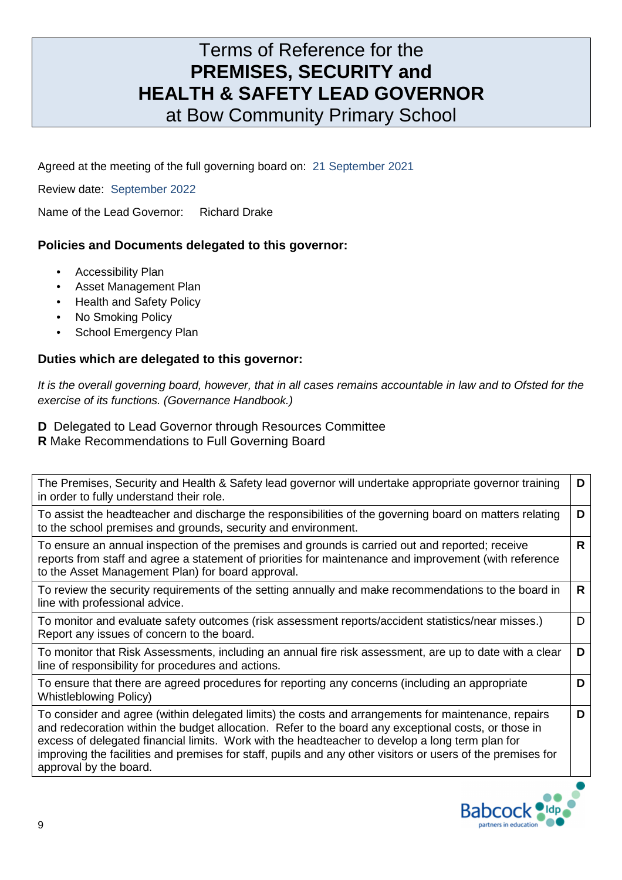# Terms of Reference for the **PREMISES, SECURITY and HEALTH & SAFETY LEAD GOVERNOR**  at Bow Community Primary School

Agreed at the meeting of the full governing board on:21 September 2021

Review date: September 2022

Name of the Lead Governor: Richard Drake

### **Policies and Documents delegated to this governor:**

- Accessibility Plan
- Asset Management Plan
- Health and Safety Policy
- No Smoking Policy
- School Emergency Plan

### **Duties which are delegated to this governor:**

It is the overall governing board, however, that in all cases remains accountable in law and to Ofsted for the exercise of its functions. (Governance Handbook.)

- **D** Delegated to Lead Governor through Resources Committee
- **R** Make Recommendations to Full Governing Board

The Premises, Security and Health & Safety lead governor will undertake appropriate governor training in order to fully understand their role. **D**

To assist the headteacher and discharge the responsibilities of the governing board on matters relating to the school premises and grounds, security and environment. **D**

To ensure an annual inspection of the premises and grounds is carried out and reported; receive reports from staff and agree a statement of priorities for maintenance and improvement (with reference to the Asset Management Plan) for board approval. **R**

To review the security requirements of the setting annually and make recommendations to the board in line with professional advice. **R**

To monitor and evaluate safety outcomes (risk assessment reports/accident statistics/near misses.) Report any issues of concern to the board.

To monitor that Risk Assessments, including an annual fire risk assessment, are up to date with a clear line of responsibility for procedures and actions. **D**

To ensure that there are agreed procedures for reporting any concerns (including an appropriate Whistleblowing Policy)

To consider and agree (within delegated limits) the costs and arrangements for maintenance, repairs and redecoration within the budget allocation. Refer to the board any exceptional costs, or those in excess of delegated financial limits. Work with the headteacher to develop a long term plan for improving the facilities and premises for staff, pupils and any other visitors or users of the premises for approval by the board.



D

**D**

**D**